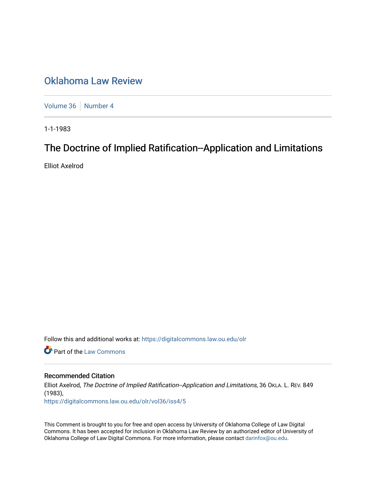## [Oklahoma Law Review](https://digitalcommons.law.ou.edu/olr)

[Volume 36](https://digitalcommons.law.ou.edu/olr/vol36) | [Number 4](https://digitalcommons.law.ou.edu/olr/vol36/iss4)

1-1-1983

# The Doctrine of Implied Ratification--Application and Limitations

Elliot Axelrod

Follow this and additional works at: [https://digitalcommons.law.ou.edu/olr](https://digitalcommons.law.ou.edu/olr?utm_source=digitalcommons.law.ou.edu%2Folr%2Fvol36%2Fiss4%2F5&utm_medium=PDF&utm_campaign=PDFCoverPages)

**Part of the [Law Commons](http://network.bepress.com/hgg/discipline/578?utm_source=digitalcommons.law.ou.edu%2Folr%2Fvol36%2Fiss4%2F5&utm_medium=PDF&utm_campaign=PDFCoverPages)** 

## Recommended Citation

Elliot Axelrod, The Doctrine of Implied Ratification--Application and Limitations, 36 OKLA. L. REV. 849 (1983), [https://digitalcommons.law.ou.edu/olr/vol36/iss4/5](https://digitalcommons.law.ou.edu/olr/vol36/iss4/5?utm_source=digitalcommons.law.ou.edu%2Folr%2Fvol36%2Fiss4%2F5&utm_medium=PDF&utm_campaign=PDFCoverPages) 

This Comment is brought to you for free and open access by University of Oklahoma College of Law Digital Commons. It has been accepted for inclusion in Oklahoma Law Review by an authorized editor of University of Oklahoma College of Law Digital Commons. For more information, please contact [darinfox@ou.edu.](mailto:darinfox@ou.edu)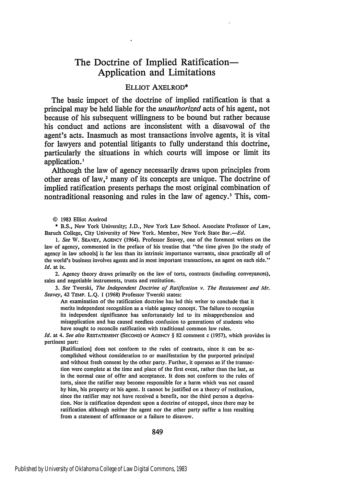## The Doctrine of Implied Ratification-Application and Limitations

## ELLIOT AXELROD\*

The basic import of the doctrine of implied ratification is that a principal may be held liable for the *unauthorized* acts of his agent, not because of his subsequent willingness to be bound but rather because his conduct and actions are inconsistent with a disavowal of the agent's acts. Inasmuch as most transactions involve agents, it is vital for lawyers and potential litigants to fully understand this doctrine, particularly the situations in which courts will impose or limit its application.'

Although the law of agency necessarily draws upon principles from other areas of law,<sup>2</sup> many of its concepts are unique. The doctrine of implied ratification presents perhaps the most original combination of nontraditional reasoning and rules in the law of agency.' This, com-

**© 1983** Elliot Axelrod

\* B.S., New York University; J.D., New York Law School. Associate Professor of Law, Baruch College, City University of New York. Member, New York State Bar.-Ed.

*1. See* W. SEAVEY, **AGENCY** (1964). Professor Seavey, one of the foremost writers on the law of agency, commented in the preface of his treatise that "the time given [to the study of agency in law schools] is far less than its intrinsic importance warrants, since practically all of the world's business involves agents and in most important transactions, an agent on each side." *Id.* at ix.

2. Agency theory draws primarily on the law of torts, contracts (including conveyances), sales and negotiable instruments, trusts and restitution.

*3. See* Twerski, *The Independent Doctrine of Ratification v. The Restatement and Mr. Seavey,* 42 TEMP. **L.Q. 1 (1968)** Professor Twerski states:

An examination of the ratification doctrine has led this writer to conclude that it merits independent recognition as a viable agency concept. The failure to recognize its independent significance has unfortunately led to its misapprehension and misapplication and has caused needless confusion to generations of students who have sought to reconcile ratification with traditional common law rules.

*Id.* at 4. *See also* **RESTATEMENT (SECOND) OF AGENCY § 82** comment c **(1957),** which provides in pertinent part:

[Ratification] does not conform to the rules of contracts, since it can be accomplished without consideration to or manifestation **by** the purported principal and without fresh consent **by** the other party. Further, it operates as if the transaction were complete at the time and place of the first event, rather than the last, as in the normal case of offer and acceptance. It does not conform to the rules of torts, since the ratifier may become responsible for a harm which was not caused **by** him, his property or his agent. It cannot be justified on a theory of restitution, since the ratifier may not have received a benefit, nor the third person a deprivation. Nor is ratification dependent upon a doctrine of estoppel, since there may be ratification although neither the agent nor the other party suffer a loss resulting from a statement of affirmance or a failure to disavow.

849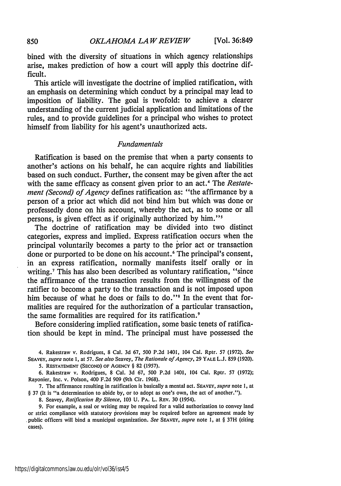bined with the diversity of situations in which agency relationships arise, makes prediction of how a court will apply this doctrine difficult.

This article will investigate the doctrine of implied ratification, with an emphasis on determining which conduct by a principal may lead to imposition of liability. The goal is twofold: to achieve a clearer understanding of the current judicial application and limitations of the rules, and to provide guidelines for a principal who wishes to protect himself from liability for his agent's unauthorized acts.

## *Fundamentals*

Ratification is based on the premise that when a party consents to another's actions on his behalf, he can acquire rights and liabilities based on such conduct. Further, the consent may be given after the act with the same efficacy as consent given prior to an act.<sup>4</sup> The *Restatement (Second) of Agency* defines ratification as: "the affirmance by a person of a prior act which did not bind him but which was done or professedly done on his account, whereby the act, as to some or all persons, is given effect as if originally authorized by him."<sup>5</sup>

The doctrine of ratification may be divided into two distinct categories, express and implied. Express ratification occurs when the principal voluntarily becomes a party to the prior act or transaction done or purported to be done on his account.<sup>6</sup> The principal's consent, in an express ratification, normally manifests itself orally or in writing.<sup>7</sup> This has also been described as voluntary ratification, "since the affirmance of the transaction results from the willingness of the ratifier to become a party to the transaction and is not imposed upon him because of what he does or fails to do."<sup>8</sup> In the event that formalities are required for the authorization of a particular transaction, the same formalities are required for its ratification.<sup>9</sup>

Before considering implied ratification, some basic tenets of ratification should be kept in mind. The principal must have possessed the

4. Rakestraw v. Rodrigues, 8 Cal. 3d 67, 500 P.2d 1401, 104 Cal. Rptr. 57 (1972). *See* SEAVEY, *supra* note **1,** at 57. *See also* Seavey, *The Rationale of Agency,* 29 YALE L.J. 859 (1920).

**5. RESTATEMENT (SECOND)** OF **AGENCY § 82 (1957).**

6. Rakestraw v. Rodrigues, 8 Cal. **3d** 67, **500 P.2d** 1401, 104 Cal. Rptr. **57 (1972);** Rayonier, Inc. v. Polson, 400 **F.2d** 909 (9th Cir. 1968).

7. The affirmance resulting in ratification is basically a mental act. SEAVEY, *supra* note **1,** at § 37 (It is "a determination to abide by, or to adopt as one's own, the act of another.").

8. Seavey, *Ratification By Silence,* **103 U.** PA. L. REV. 30 (1954).

9. For example, a seal or writing may be required for a valid authorization to convey land or strict compliance with statutory provisions may be required before an agreement made by ,public officers will bind a municipal organization. *See SEAVEY, supra* note **1,** at § 37H (citing cases).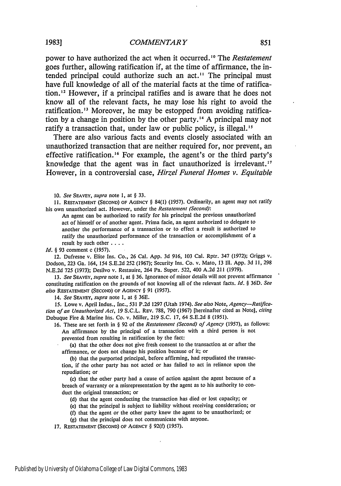power to have authorized the act when it occurred.<sup>10</sup> The *Restatement* goes further, allowing ratification if, at the time of affirmance, the intended principal could authorize such an act." The principal must have full knowledge of all of the material facts at the time of ratification.'" However, if a principal ratifies and is aware that he does not know all of the relevant facts, he may lose his right to avoid the ratification.<sup>13</sup> Moreover, he may be estopped from avoiding ratification **by** a change in position **by** the other party. **'" A** principal may not ratify a transaction that, under law or public policy, is illegal.<sup>15</sup>

There are also various facts and events closely associated with an unauthorized transaction that are neither required for, nor prevent, an effective ratification.<sup>16</sup> For example, the agent's or the third party's knowledge that the agent was in fact unauthorized is irrelevant.<sup>17</sup> However, in a controversial case, *Hirzel Funeral Homes v. Equitable*

**10.** See SEAVEY, *supra* note **1,** at § **33.**

**11.** RESTATEMENT (SECOND) OF AGENCY § 84(1) (1957). Ordinarily, an agent may not ratify his own unauthorized act. However, under the *Restatement (Second):*

An agent can be authorized to ratify for his principal the previous unauthorized act of himself or of another agent. Prima facie, an agent authorized to delegate to another the performance of a transaction or to effect a result is authorized to ratify the unauthorized performance of the transaction or accomplishment of a result by such other **....**

*Id. §* 93 comment c (1957).

12. Dufresne v. Elite Ins. Co., 26 Cal. App. 3d 916, 103 Cal. Rptr. 347 (1972); Griggs v. Dodson, 223 Ga. 164, 154 S.E.2d 252 (1967); Security Ins. Co. v. Mato, **13** Ill. App. 3d 11, 298 N.E.2d 725 (1973); Desilvo v. Restauire, 264 Pa. Super. 522, 400 A.2d 211 (1979).

13. *See* SEAVEY, *supra* note 1, at § 36. Ignorance of minor details will not prevent affirmance constituting ratification on the grounds of not knowing all of the relevant facts. *Id. §* 36D. *See also* RESTATEMENT (SECOND) OF AGENCY § 91 **(1957).**

14. *See* **SEAVEY,** *supra* note I, at § 36E.

15. Lowe v. April Indus., Inc., 531 P.2d 1297 (Utah 1974). *See also* Note, *Agency-Ratification of an Unauthorized Act,* 19 S.C.L. REv. 788, 790 (1967) [hereinafter cited as Note], *citing* Dubuque Fire & Marine Ins. Co. v. Miller, 219 S.C. 17, 64 S.E.2d **8** (1951).

16. These are set forth in § 92 of the *Restatement (Second) of Agency* (1957), as follows: An affirmance by the principal of a transaction with a third person is not

prevented from resulting in ratification by the fact:

(a) that the other does not give fresh consent to the transaction at or after the affirmance, or does not change his position because of it; or

(b) that the purported principal, before affirming, had repudiated the transaction, if the other party has not acted or has failed to act in reliance upon the repudiation; or

(c) that the other party had a cause of action against the agent because of a breach of warranty or a misrepresentation by the agent as to his authority to conduct the original transaction; or

(d) that the agent conducting the transaction has died or lost capacity; or

- (e) that the principal is subject to liability without receiving consideration; or
- **(f)** that the agent or the other party knew the agent to be unauthorized; or

(g) that the principal does not communicate with anyone.

**17.** RESTATEMENT (SECOND) OF AGENCY § **92(f)** (1957).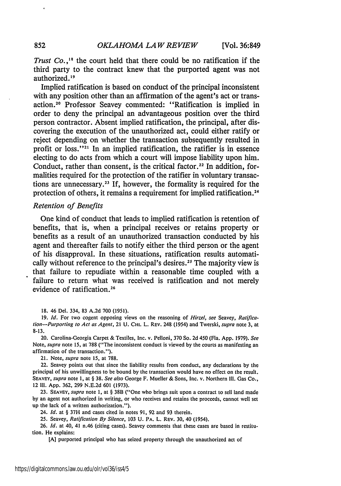*Trust Co.*,<sup>18</sup> the court held that there could be no ratification if the third party to the contract knew that the purported agent was not authorized. **' 9**

Implied ratification is based on conduct of the principal inconsistent with any position other than an affirmation of the agent's act or transaction.<sup>20</sup> Professor Seavey commented: "Ratification is implied in order to deny the principal an advantageous position over the third person contractor. Absent implied ratification, the principal, after discovering the execution of the unauthorized act, could either ratify or reject depending on whether the transaction subsequently resulted in profit or loss."21 In an implied ratification, the ratifier is in essence electing to do acts from which a court will impose liability upon him. Conduct, rather than consent, is the critical factor.<sup>22</sup> In addition, formalities required for the protection of the ratifier in voluntary transactions are unnecessary.<sup>23</sup> If, however, the formality is required for the protection of others, it remains a requirement for implied ratification.<sup>24</sup>

## *Retention of Benefits*

One kind of conduct that leads to implied ratification is retention of benefits, that is, when a principal receives or retains property or benefits as a result of an unauthorized transaction conducted by his agent and thereafter fails to notify either the third person or the agent of his disapproval. In these situations, ratification results automatically without reference to the principal's desires.<sup>25</sup> The majority view is that failure to repudiate within a reasonable time coupled with a failure to return what was received is ratification and not merely evidence of ratification.<sup>26</sup>

18. 46 Del. 334, 83 A.2d 700 (1951).

19. *Id.* For two cogent opposing views on the reasoning of *Hirzel, see* Seavey, Ratifica*lion-Purporting to Act as Agent,* 21 U. CHti. L. REV. 248 (1954) and Twerski, *supra* note 3, at 8-13.

20. Carolina-Georgia Carpet & Textiles, Inc. v. Pelloni, 370 So. 2d 450 (Fla. App. 1979). *See* Note, *supra* note 15, at 788 ("The inconsistent conduct is viewed by the courts as manifesting an affirmation of the transaction.").

21. Note, *supra* note 15, at 788.

22. Seavey points out that since the liability results from conduct, any declarations by the principal of his unwillingness to be bound by the transaction would have no effect on the result. SEAVEY, *supra* note 1, at § 38. *See also* George F. Mueller & Sons, Inc. v. Northern Ill. Gas Co., 12 111. App. 362, 299 N.E.2d 601 (1973).

23. SEAVEY, *supra* note 1, at § **38B** ("One who brings suit upon a contract to sell land made by an agent not authorized in writing, or who receives and retains the proceeds, cannot well set up the lack of a written authorization.").

24. *Id.* at § 37H and cases cited in notes 91, 92 and 93 therein.

25. Seavey, *Ratification By Silence,* 103 U. PA. L. REV. 30, 40 (1954).

26. *Id.* at 40, 41 n.46 (citing cases). Seavey comments that these cases are based in restitution. He explains:

**[A]** purported principal who has seized property through the unauthorized act of

852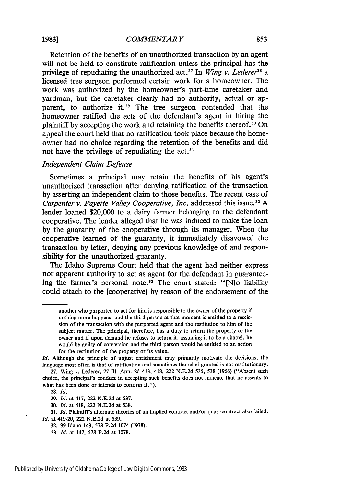#### *COMMENTAR Y*

Retention of the benefits of an unauthorized transaction by an agent will not be held to constitute ratification unless the principal has the privilege of repudiating the unauthorized act.<sup>27</sup> In *Wing v. Lederer*<sup>28</sup> a licensed tree surgeon performed certain work for a homeowner. The work was authorized by the homeowner's part-time caretaker and yardman, but the caretaker clearly had no authority, actual or apparent, to authorize it.<sup>29</sup> The tree surgeon contended that the homeowner ratified the acts of the defendant's agent in hiring the plaintiff by accepting the work and retaining the benefits thereof.<sup>30</sup> On appeal the court held that no ratification took place because the homeowner had no choice regarding the retention of the benefits and did not have the privilege of repudiating the act.<sup>31</sup>

## *Independent Claim Defense*

Sometimes a principal may retain the benefits of his agent's unauthorized transaction after denying ratification of the transaction by asserting an independent claim to those benefits. The recent case of *Carpenter v. Payette Valley Cooperative, Inc. addressed this issue.*<sup>32</sup> A lender loaned \$20,000 to a dairy farmer belonging to the defendant cooperative. The lender alleged that he was induced to make the loan by the guaranty of the cooperative through its manager. When the cooperative learned of the guaranty, it immediately disavowed the transaction by letter, denying any previous knowledge of and responsibility for the unauthorized guaranty.

The Idaho Supreme Court held that the agent had neither express nor apparent authority to act as agent for the defendant in guaranteeing the farmer's personal **note.<sup>33</sup>**The court stated: "[N]o liability could attach to the [cooperative] by reason of the endorsement of the

another who purported to act for him is responsible to the owner of the property if nothing more happens, and the third person at that moment is entitled to a rescission of the transaction with the purported agent and the restitution to him of the subject matter. The principal, therefore, has a duty to return the property to the owner and if upon demand he refuses to return it, assuming it to be a chattel, he would be guilty of conversion and the third person would be entitled to an action for the restitution of the property or its value.

*Id.* Although the principle of unjust enrichment may primarily motivate the decisions, the language most often is that of ratification and sometimes the relief granted is not restitutionary.

<sup>27.</sup> Wing v. Lederer, 77 **I1.** App. 2d 413, 418, 222 N.E.2d 535, 538 (1966) ("Absent such choice, the principal's conduct in accepting such benefits does not indicate that he assents to what has been done or intends to confirm it.").

**<sup>28.</sup>** *Id.*

**<sup>29.</sup>** *Id.* at 417, 222 **N.E.2d** at **537.**

**<sup>30.</sup>** *Id.* at 418, 222 **N.E.2d** at **538.**

**<sup>31.</sup>** *Id.* Plaintiff's alternate theories of an implied contract and/or quasi-contract also failed. *Id.* at 419-20, 222 **N.E.2d** at **539.**

**<sup>32. 99</sup>** Idaho 143, **578 P.2d** 1074 **(1978).**

**<sup>33.</sup>** *Id.* at 147, **578 P.2d** at **1078.**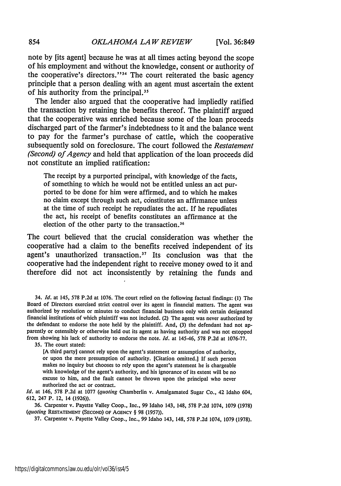note **by** [its agent] because he was at all times acting beyond the scope of his employment and without the knowledge, consent or authority of the cooperative's directors."<sup>34</sup> The court reiterated the basic agency principle that a person dealing with an agent must ascertain the extent of his authority from the principal.<sup>35</sup>

The lender also argued that the cooperative had impliedly ratified the transaction by retaining the benefits thereof. The plaintiff argued that the cooperative was enriched because some of the loan proceeds discharged part of the farmer's indebtedness to it and the balance went to pay for the farmer's purchase of cattle, which the cooperative subsequently sold on foreclosure. The court followed the *Restatement (Second) of Agency* and held that application of the loan proceeds did not constitute an implied ratification:

The receipt by a purported principal, with knowledge of the facts, of something to which he would not be entitled unless an act purported to be done for him were affirmed, and to which he makes no claim except through such act, constitutes an affirmance unless at the time of such receipt he repudiates the act. If he repudiates the act, his receipt of benefits constitutes an affirmance at the election of the other party to the transaction.<sup>36</sup>

The court believed that the crucial consideration was whether the cooperative had a claim to the benefits received independent of its agent's unauthorized transaction.<sup>37</sup> Its conclusion was that the cooperative had the independent right to receive money owed to it and therefore did not act inconsistently by retaining the funds and

34. *Id.* at 145, 578 **P.2d** at 1076. The court relied on the following factual findings: **(1)** The Board of Directors exercised strict control over its agent in financial matters. The agent was authorized by resolution or minutes to conduct financial business only with certain designated financial institutions of which plaintiff was not included. (2) The agent was never authorized by the defendant to endorse the note held by the plaintiff. And, **(3)** the defendant had not apparently or ostensibly or otherwise held out its agent as having authority and was not estopped from showing his lack of authority to endorse the note. *Id.* at 145-46, 578 **P.2d** at 1076-77.

35. The court stated:

[A third party] cannot rely upon the agent's statement or assumption of authority, or upon the mere presumption of authority. [Citation omitted.] If such person makes no inquiry but chooses to rely upon the agent's statement he is chargeable with knowledge of the agent's authority, and his ignorance of its extent will be no excuse to him, and the fault cannot be thrown upon the principal who never authorized the act or contract.

*Id.* at 146, 578 P.2d at 1077 *(quoting* Chamberlin v. Amalgamated Sugar Co., 42 Idaho 604, 612, 247 P. 12, 14 (1926)).

36. Carpenter v. Payette Valley Coop., Inc., 99 Idaho 143, 148, 578 P.2d 1074, 1079 (1978) *(quoting* RESTATEMENT **(SECOND)** OF **AGENCY** § 98 (1957)).

37. Carpenter v. Payette Valley Coop., Inc., 99 Idaho 143, 148, 578 P.2d 1074, 1079 (1978).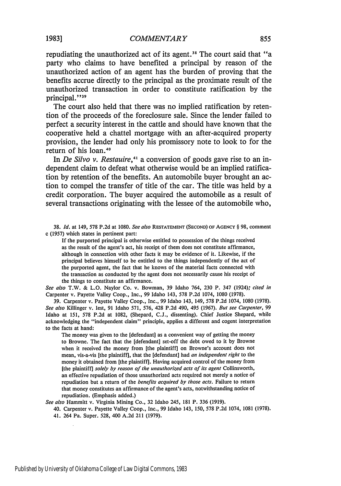repudiating the unauthorized act of its agent.<sup>38</sup> The court said that "a party who claims to have benefited a principal by reason of the unauthorized action of an agent has the burden of proving that the benefits accrue directly to the principal as the proximate result of the unauthorized transaction in order to constitute ratification by the principal."<sup>39</sup>

The court also held that there was no implied ratification by retention of the proceeds of the foreclosure sale. Since the lender failed to perfect a security interest in the cattle and should have known that the cooperative held a chattel mortgage with an after-acquired property provision, the lender had only his promissory note to look to for the return of his loan. <sup>4</sup><sup>0</sup>

In *De Silvo v. Restauire*,<sup>41</sup> a conversion of goods gave rise to an independent claim to defeat what otherwise would be an implied ratification by retention of the benefits. An automobile buyer brought an action to compel the transfer of title of the car. The title was held by a credit corporation. The buyer acquired the automobile as a result of several transactions originating with the lessee of the automobile who,

**38.** *Id.* at 149, 578 **P.2d** at **1080.** *See also* **RESTATEMENT (SECOND) OF AGENCY** § **98,** comment c (1957) which states in pertinent part:

**If** the purported principal is otherwise entitled to possession of the things received as the result of the agent's act, his receipt of them does not constitute affirmance, although in connection with other facts it may be evidence of it. Likewise, if the principal believes himself to be entitled to the things independently of the act of the purported agent, the fact that he knows of the material facts connected with the transaction as conducted **by** the agent does not necessarily cause his receipt of the things to constitute an affirmance.

*See also* T.W. & L.O. Naylor Co. v. Bowman, **39** Idaho 764, **230** P. 347 (1924); *cited in* Carpenter v. Payette Valley Coop., Inc., 99 Idaho 143, **578** P.2d 1074, **1080** (1978).

**39.** Carpenter v. Payette Valley Coop., Inc., 99 Idaho 143, 149, 578 **P.2d** 1074, 1080 (1978). *See also* Killinger v. lest, 91 Idaho 571, 576, 428 **P.2d** 490, 495 (1967). *But see Carpenter, 99* Idaho at 151, **578 P.2d** at **1082,** (Shepard, C.J., dissenting). Chief Justice Shepard, while acknowledging the "independent claim" principle, applies a different and cogent interpretation to the facts at hand:

The money was given to the [defendant] as a convenient way of getting the money to Browne. The fact that the [defendant] set-off the debt owed to it by Browne when it received the money from [the plaintiff] on Browne's account does not mean, vis-a-vis [the plaintiff], that the [defendant] had *an independent right* to the money it obtained from [the plaintiff]. Having acquired control of the money from [the plaintiff] *solely by reason of the unauthorized acts of its agent* Collinsworth, an effective repudiation of those unauthorized acts required not merely a notice of repudiation but a return of the *benefits acquired by those acts.* Failure to return that money constitutes an affirmance of the agent's acts, notwithstanding notice of repudiation. (Emphasis added.)

*See also* Hammitt v. Virginia Mining Co., 32 Idaho 245, 181 P. 336 (1919).

40. Carpenter v. Payette Valley Coop., Inc., 99 Idaho 143, 150, 578 P.2d 1074, 1081 (1978). 41. 264 Pa. Super. 528, 400 A.2d 211 (1979).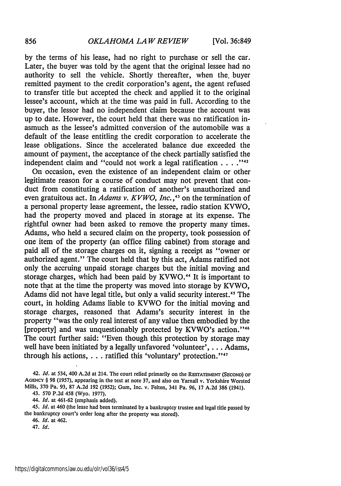by the terms of his lease, had no right to purchase or sell the car. Later, the buyer was told by the agent that the original lessee had no authority to sell the vehicle. Shortly thereafter, when the. buyer remitted payment to the credit corporation's agent, the agent refused to transfer title but accepted the check and applied it to the original lessee's account, which at the time was paid in full. According to the buyer, the lessor had no independent claim because the account was up to date. However, the court held that there was no ratification inasmuch as the lessee's admitted conversion of the automobile was a default of the lease entitling the credit corporation to accelerate the lease obligations. Since the accelerated balance due exceeded the amount of payment, the acceptance of the check partially satisfied the independent claim and "could not work a legal ratification **....**

On occasion, even the existence of an independent claim or other legitimate reason for a course of conduct may not prevent that conduct from constituting a ratification of another's unauthorized and even gratuitous act. In *Adams v. KVWO, Inc.*,<sup>43</sup> on the termination of a personal property lease agreement, the lessee, radio station KVWO, had the property moved and placed in storage at its expense. The rightful owner had been asked to remove the property many times. Adams, who held a secured claim on the property, took possession of one item of the property (an office filing cabinet) from storage and paid all of the storage charges on it, signing a receipt as "owner or authorized agent." The court held that by this act, Adams ratified not only the accruing unpaid storage charges but the initial moving and storage charges, which had been paid by KVWO.<sup>44</sup> It is important to note that at the time the property was moved into storage by KVWO, Adams did not have legal title, but only a valid security interest.<sup>45</sup> The court, in holding Adams liable to KVWO for the initial moving and storage charges, reasoned that Adams's security interest in the property "was the only real interest of any value then embodied by the [property] and was unquestionably protected by KVWO's action."<sup>46</sup> The court further said: "Even though this protection by storage may well have been initiated by a legally unfavored 'volunteer', ... Adams, through his actions,  $\dots$  ratified this 'voluntary' protection."<sup>47</sup>

43. 570 P.2d 458 (Wyo. 1977).

44. *Id.* at 461-62 (emphasis added).

*45. Id.* at 460 (the lease had been terminated by a bankruptcy trustee and legal title passed by the bankruptcy court's order long after the property was stored).

46. *Id.* at 462.

47. *Id.*

<sup>42.</sup> *Id.* at 534, 400 A.2d at 214. The court relied primarily on the RESTATEMENT **(SECOND) OF AGENCY** § 98 **(1957),** appearing in the text at note 37, and also on Yarnall v. Yorkshire Worsted Mills, 370 Pa. 93, 87 A.2d 192 **(1952);** Gum, Inc. v. Felten, 341 Pa. 96, 17 A.2d 386 (1941).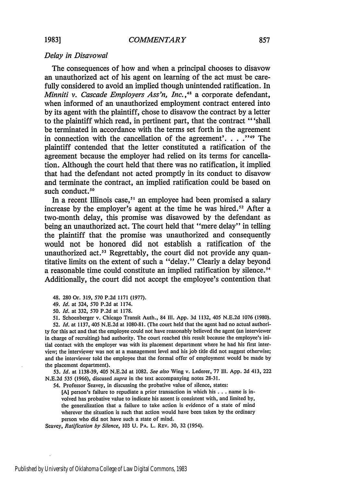## *Delay in Disavowal*

The consequences of how and when a principal chooses to disavow an unauthorized act of his agent on learning of the act must be carefully considered to avoid an implied though unintended ratification. In *Minniti v. Cascade Employers Ass'n, Inc.,"* a corporate defendant, when informed of an unauthorized employment contract entered into **by** its agent with the plaintiff, chose to disavow the contract **by** a letter to the plaintiff which read, in pertinent part, that the contract "'shall be terminated in accordance with the terms set forth in the agreement in connection with the cancellation of the agreement'. **. ."9** The plaintiff contended that the letter constituted a ratification of the agreement because the employer had relied on its terms for cancellation. Although the court held that there was no ratification, it implied that had the defendant not acted promptly in its conduct to disavow and terminate the contract, an implied ratification could be based on such conduct.<sup>50</sup>

In a recent Illinois case,  $s_1$  an employee had been promised a salary increase by the employer's agent at the time he was hired.<sup>52</sup> After a two-month delay, this promise was disavowed **by** the defendant as being an unauthorized act. The court held that "mere delay" in telling the plaintiff that the promise was unauthorized and consequently would not be honored did not establish a ratification of the unauthorized act.<sup>53</sup> Regrettably, the court did not provide any quantitative limits on the extent of such a "delay." Clearly a delay beyond a reasonable time could constitute an implied ratification by silence.<sup>54</sup> Additionally, the court did not accept the employee's contention that

48. **280** Or. **319, 570 P.2d 1171 (1977).**

49. *Id.* at 324, **570 P.2d** at 1174.

*50. Id.* at **332, 570 P.2d** at **1178.**

**51.** Schoenberger v. Chicago Transit Auth., 84 **111. App. 3d 1132,** 405 **N.E.2d 1076 (1980).**

**52.** *Id.* at **1137,** 405 **N.E.2d** at **1080-81.** (The court held that the agent had no actual authority for this act and that the employee could not have reasonably believed the agent (an interviewer in charge of recruiting) had authority. The court reached this result because the employee's initial contact with the employer was with its placement department where he had his first interview; the interviewer was not at a management level and his **job** title did not suggest otherwise; and the interviewer told the employee that the formal offer of employment would be made **by** the placement department).

**53.** *Id.* at **1138-39,** 405 **N.E.2d** at **1082.** *See also* Wing v. Lederer, **77 I11. App. 2d** 413, 222 **N.E.2d 535 (1966),** discused *supra* in the text accompanying notes **28-31.**

54. Professor Seavey, in discussing the probative value of silence, states:

**[A]** person's failure to repudiate a prior transaction in which his **. . .** name is involved has probative value to indicate his assent is consistent with, and limited **by,** the generalization that a failure to take action is evidence of a state of mind wherever the situation is such that action would have been taken **by** the ordinary person who did not have such a state of mind.

Seavey, *Ratification by Silence,* **103 U.** PA. L. REv. **30, 32** (1954).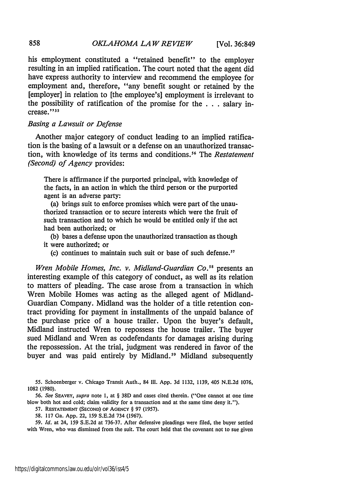his employment constituted a "retained benefit" to the employer resulting in an implied ratification. The court noted that the agent did have express authority to interview and recommend the employee for employment and, therefore, "any benefit sought or retained by the [employer] in relation to [the employee's] employment is irrelevant to the possibility of ratification of the promise for the . . . salary increase."<sup>55</sup>

## *Basing a Lawsuit or Defense*

Another major category of conduct leading to an implied ratification is the basing of a lawsuit or a defense on an unauthorized transaction, with knowledge of its terms and conditions.<sup>56</sup> The *Restatement (Second) of Agency* provides:

There is affirmance if the purported principal, with knowledge of the facts, in an action in which the third person or the purported agent is an adverse party:

(a) brings suit to enforce promises which were part of the unauthorized transaction or to secure interests which were the fruit of such transaction and to which he would be entitled only if the act had been authorized; or

(b) bases a defense upon the unauthorized transaction as though it were authorized; or

(c) continues to maintain such suit or base of such defense.<sup>57</sup>

*Wren Mobile Homes, Inc. v. Midland-Guardian Co.58* presents an interesting example of this category of conduct, as well as its relation to matters of pleading. The case arose from a transaction in which Wren Mobile Homes was acting as the alleged agent of Midland-Guardian Company. Midland was the holder of a title retention contract providing for payment in installments of the unpaid balance of the purchase price of a house trailer. Upon the buyer's default, Midland instructed Wren to repossess the house trailer. The buyer sued Midland and Wren as codefendants for damages arising during the repossession. At the trial, judgment was rendered in favor of the buyer and was paid entirely by Midland.<sup>59</sup> Midland subsequently

**55.** Schoenberger v. Chicago Transit Auth., 84 111. App. 3d 1132, 1139, 405 N.E.2d 1076, 1082 (1980).

56. *See* **SEAVEY,** *supra* note I, at § **38D** and cases cited therein. ("One cannot at one time blow both hot and cold; claim validity for a transaction and at the same time deny it.").

**57. RESTATEMENT (SECOND) OF AGENCY** § **97 (1957).**

58. 117 Ga. App. 22, 159 S.E.2d 734 (1967).

*59. Id.* at 24, 159 S.E.2d at 736-37. After defensive pleadings were filed, the buyer settled with Wren, who was dismissed from the suit. The court held that the covenant not to sue given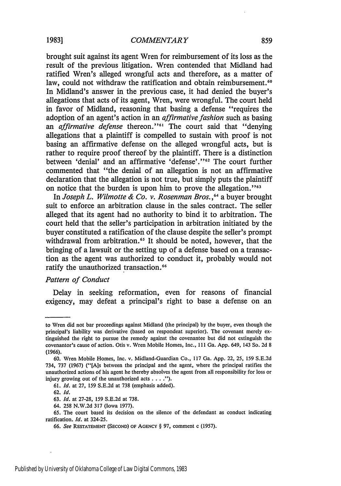brought suit against its agent Wren for reimbursement of its loss as the result of the previous litigation. Wren contended that Midland had ratified Wren's alleged wrongful acts and therefore, as a matter of law, could not withdraw the ratification and obtain reimbursement.<sup>60</sup> In Midland's answer in the previous case, it had denied the buyer's allegations that acts of its agent, Wren, were wrongful. The court held in favor of Midland, reasoning that basing a defense "requires the adoption of an agent's action in an *affirmative fashion* such as basing an *affirmative defense* thereon."<sup>61</sup> The court said that "denying allegations that a plaintiff is compelled to sustain with proof is not basing an affirmative defense on the alleged wrongful acts, but is rather to require proof thereof by the plaintiff. There is a distinction between 'denial' and an affirmative 'defense'."<sup>52</sup> The court further commented that "the denial of an allegation is not an affirmative declaration that the allegation is not true, but simply puts the plaintiff on notice that the burden is upon him to prove the allegation."<sup>53</sup>

In *Joseph L. Wilmotte & Co. v. Rosenman Bros.* **,64** a buyer brought suit to enforce an arbitration clause in the sales contract. The seller alleged that its agent had no authority to bind it to arbitration. The court held that the seller's participation in arbitration initiated by the buyer constituted a ratification of the clause despite the seller's prompt withdrawal from arbitration.<sup>65</sup> It should be noted, however, that the bringing of a lawsuit or the setting up of a defense based on a transaction as the agent was authorized to conduct it, probably would not ratify the unauthorized transaction.<sup>66</sup>

## *Pattern of Conduct*

Delay in seeking reformation, even for reasons of financial exigency, may defeat a principal's right to base a defense on an

61. *Id.* at 27, 159 S.E.2d at 738 (emphasis added).

to Wren did not bar proceedings against Midland (the principal) by the buyer, even though the principal's liability was derivative (based on respondeat superior). The covenant merely extinguished the right to pursue the remedy against the covenantee but did not extinguish the covenantor's cause of action. Otis v. Wren Mobile Homes, Inc., **Ill** Ga. App. 649, 143 So. 2d 8 (1966).

<sup>60.</sup> Wren Mobile Homes, Inc. v. Midland-Guardian Co., 117 Ga. App. 22, 25, 159 S.E.2d 734, 737 (1967) ("[Als between the principal and the agent, where the principal ratifies the unauthorized actions of his agent he thereby absolves the agent from all responsibility for loss or injury growing out of the unauthorized acts **....").**

<sup>62.</sup> *Id.*

<sup>63.</sup> *Id.* at 27-28, 159 S.E.2d at 738.

<sup>64. 258</sup> N.W.2d 317 (Iowa 1977).

<sup>65.</sup> The court based its decision on the silence of the defendant as conduct indicating ratification. *Id.* at 324-25.

<sup>66.</sup> *See* **RESTATEMENT (SECOND) OF AGENCY** § 97, comment c (1957).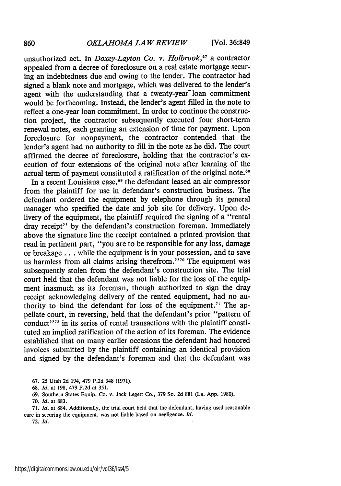unauthorized act. In *Doxey-Layton Co. v. Holbrook,<sup>67</sup>*a contractor appealed from a decree of foreclosure on a real estate mortgage securing an indebtedness due and owing to the lender. The contractor had signed a blank note and mortgage, which was delivered to the lender's agent with the understanding that a twenty-year<sup>-</sup> loan commitment would be forthcoming. Instead, the lender's agent filled in the note to reflect a one-year loan commitment. In order to continue the construction project, the contractor subsequently executed four short-term renewal notes, each granting an extension of time for payment. Upon foreclosure for nonpayment, the contractor contended that the lender's agent had no authority to fill in the note as he did. The court affirmed the decree of foreclosure, holding that the contractor's execution of four extensions of the original note after learning of the actual term of payment constituted a ratification of the original note.<sup>68</sup>

In a recent Louisiana case,<sup>69</sup> the defendant leased an air compressor from the plaintiff for use in defendant's construction business. The defendant ordered the equipment by telephone through its general manager who specified the date and job site for delivery. Upon delivery of the equipment, the plaintiff required the signing of a "rental dray receipt" by the defendant's construction foreman. Immediately above the signature line the receipt contained a printed provision that read in pertinent part, "you are to be responsible for any loss, damage or breakage **...** while the equipment is in your possession, and to save us harmless from all claims arising therefrom."<sup>70</sup> The equipment was subsequently stolen from the defendant's construction site. The trial court held that the defendant was not liable for the loss of the equipment inasmuch as its foreman, though authorized to sign the dray receipt acknowledging delivery of the rented equipment, had no authority to bind the defendant for loss of the equipment.<sup>71</sup> The appellate court, in reversing, held that the defendant's prior "pattern of conduct"<sup>72</sup> in its series of rental transactions with the plaintiff constituted an implied ratification of the action of its foreman. The evidence established that on many earlier occasions the defendant had honored invoices submitted by the plaintiff containing an identical provision and signed by the defendant's foreman and that the defendant was

67. 25 Utah 2d 194, 479 P.2d 348 (1971).

68. *Id.* at 198, 479 P.2d at 351.

69. Southern States Equip. Co. v. Jack Legett Co., 379 So. 2d 881 (La. App. 1980).

70. *Id.* at 883.

71. *Id.* at 884. Additionally, the trial court held that the defendant, having used reasonable care in securing the equipment, was not liable based on negligence. *Id.*

72. *Id.*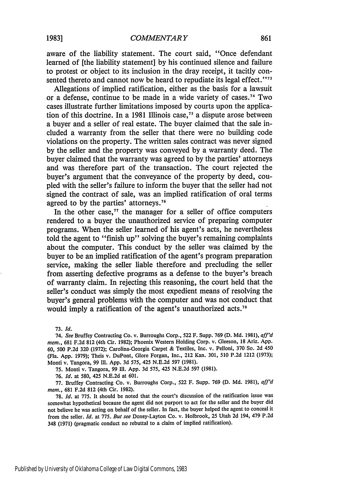aware of the liability statement. The court said, "Once defendant learned of [the liability statement] by his continued silence and failure to protest or object to its inclusion in the dray receipt, it tacitly consented thereto and cannot now be heard to repudiate its legal effect."<sup>73</sup>

Allegations of implied ratification, either as the basis for a lawsuit or a defense, continue to be made in a wide variety of cases.<sup>74</sup>Two cases illustrate further limitations imposed by courts upon the application of this doctrine. In a 1981 Illinois case,<sup>75</sup> a dispute arose between a buyer and a seller of real estate. The buyer claimed that the sale included a warranty from the seller that there were no building code violations on the property. The written sales contract was never signed by the seller and the property was conveyed by a warranty deed. The buyer claimed that the warranty was agreed to by the parties' attorneys and was therefore part of the transaction. The court rejected the buyer's argument that the conveyance of the property by deed, coupled with the seller's failure to inform the buyer that the seller had not signed the contract of sale, was an implied ratification of oral terms agreed to by the parties' attorneys.<sup>76</sup>

In the other case, $77$  the manager for a seller of office computers rendered to a buyer the unauthorized service of preparing computer programs. When the seller learned of his agent's acts, he nevertheless told the agent to "finish up" solving the buyer's remaining complaints about the computer. This conduct by the seller was claimed by the buyer to be an implied ratification of the agent's program preparation service, making the seller liable therefore and precluding the seller from asserting defective programs as a defense to the buyer's breach of warranty claim. In rejecting this reasoning, the court held that the seller's conduct was simply the most expedient means of resolving the buyer's general problems with the computer and was not conduct that would imply a ratification of the agent's unauthorized acts.<sup>78</sup>

73. Id.

74. *See* Bruffey Contracting Co. v. Burroughs Corp., 522 F. Supp. 769 (D. Md. 1981), aff'd *mem.,* 681 F.2d 812 (4th Cir. 1982); Phoenix Western Holding Corp. v. Gleeson, 18 Ariz. App. 60, 500 P.2d 320 (1972); Carolina-Georgia Carpet & Textiles, Inc. v. Pelloni, 370 So. 2d 450 (Fla. App. 1979); Theis v. DuPont, Glore Forgan, Inc., 212 Kan. 301, 510 P.2d 1212 (1973); Monti v. Tangora, 99 Ill. App. 3d 575, 425 N.E.2d 597 (1981).

75. Monti v. Tangora, 99 Il. App. 3d 575, 425 N.E.2d 597 (1981).

76. Id. at 580, 425 N.E.2d at 601.

77. Bruffey Contracting Co. v. Burroughs Corp., 522 F. Supp. 769 (D. Md. 1981), *aff'd* mem., 681 F.2d 812 (4th Cir. 1982).

78. **Id.** at 775. It should be noted that the court's discussion of the ratification issue was somewhat hypothetical because the agent did not purport to act for the seller and the buyer did not believe he was acting on behalf of the seller. In fact, the buyer helped the agent to conceal it from the seller. *Id.* at 775. *But see* Doxey-Layton Co. v. Holbrook, 25 Utah 2d 194, 479 P.2d 348 (1971) (pragmatic conduct no rebuttal to a claim of implied ratification).